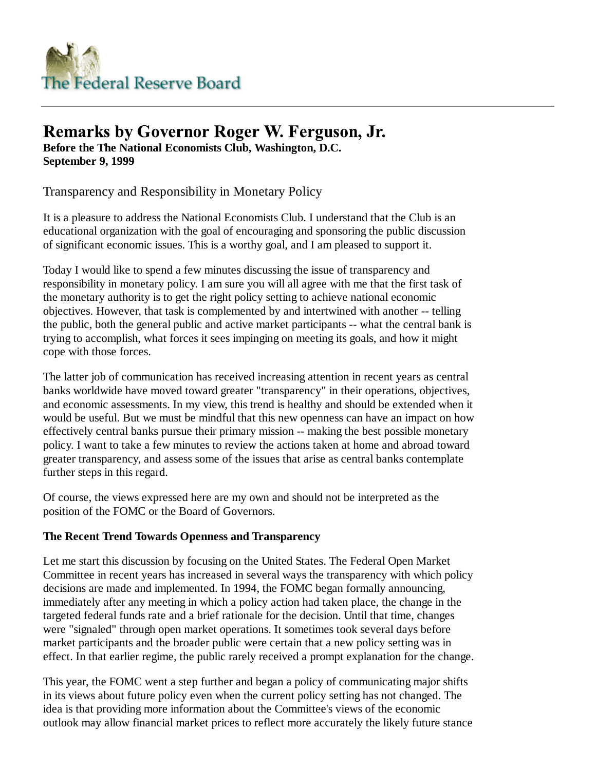

# **Remarks by Governor Roger W. Ferguson, Jr.**

**Before the The National Economists Club, Washington, D.C. September 9, 1999**

Transparency and Responsibility in Monetary Policy

It is a pleasure to address the National Economists Club. I understand that the Club is an educational organization with the goal of encouraging and sponsoring the public discussion of significant economic issues. This is a worthy goal, and I am pleased to support it.

Today I would like to spend a few minutes discussing the issue of transparency and responsibility in monetary policy. I am sure you will all agree with me that the first task of the monetary authority is to get the right policy setting to achieve national economic objectives. However, that task is complemented by and intertwined with another -- telling the public, both the general public and active market participants -- what the central bank is trying to accomplish, what forces it sees impinging on meeting its goals, and how it might cope with those forces.

The latter job of communication has received increasing attention in recent years as central banks worldwide have moved toward greater "transparency" in their operations, objectives, and economic assessments. In my view, this trend is healthy and should be extended when it would be useful. But we must be mindful that this new openness can have an impact on how effectively central banks pursue their primary mission -- making the best possible monetary policy. I want to take a few minutes to review the actions taken at home and abroad toward greater transparency, and assess some of the issues that arise as central banks contemplate further steps in this regard.

Of course, the views expressed here are my own and should not be interpreted as the position of the FOMC or the Board of Governors.

# **The Recent Trend Towards Openness and Transparency**

Let me start this discussion by focusing on the United States. The Federal Open Market Committee in recent years has increased in several ways the transparency with which policy decisions are made and implemented. In 1994, the FOMC began formally announcing, immediately after any meeting in which a policy action had taken place, the change in the targeted federal funds rate and a brief rationale for the decision. Until that time, changes were "signaled" through open market operations. It sometimes took several days before market participants and the broader public were certain that a new policy setting was in effect. In that earlier regime, the public rarely received a prompt explanation for the change.

This year, the FOMC went a step further and began a policy of communicating major shifts in its views about future policy even when the current policy setting has not changed. The idea is that providing more information about the Committee's views of the economic outlook may allow financial market prices to reflect more accurately the likely future stance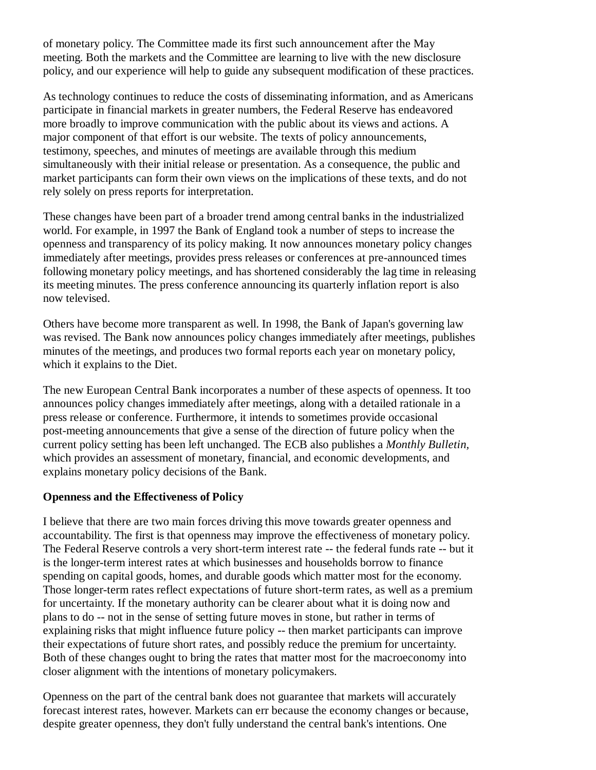of monetary policy. The Committee made its first such announcement after the May meeting. Both the markets and the Committee are learning to live with the new disclosure policy, and our experience will help to guide any subsequent modification of these practices.

As technology continues to reduce the costs of disseminating information, and as Americans participate in financial markets in greater numbers, the Federal Reserve has endeavored more broadly to improve communication with the public about its views and actions. A major component of that effort is our website. The texts of policy announcements, testimony, speeches, and minutes of meetings are available through this medium simultaneously with their initial release or presentation. As a consequence, the public and market participants can form their own views on the implications of these texts, and do not rely solely on press reports for interpretation.

These changes have been part of a broader trend among central banks in the industrialized world. For example, in 1997 the Bank of England took a number of steps to increase the openness and transparency of its policy making. It now announces monetary policy changes immediately after meetings, provides press releases or conferences at pre-announced times following monetary policy meetings, and has shortened considerably the lag time in releasing its meeting minutes. The press conference announcing its quarterly inflation report is also now televised.

Others have become more transparent as well. In 1998, the Bank of Japan's governing law was revised. The Bank now announces policy changes immediately after meetings, publishes minutes of the meetings, and produces two formal reports each year on monetary policy, which it explains to the Diet.

The new European Central Bank incorporates a number of these aspects of openness. It too announces policy changes immediately after meetings, along with a detailed rationale in a press release or conference. Furthermore, it intends to sometimes provide occasional post-meeting announcements that give a sense of the direction of future policy when the current policy setting has been left unchanged. The ECB also publishes a *Monthly Bulletin,* which provides an assessment of monetary, financial, and economic developments, and explains monetary policy decisions of the Bank.

#### **Openness and the Effectiveness of Policy**

I believe that there are two main forces driving this move towards greater openness and accountability. The first is that openness may improve the effectiveness of monetary policy. The Federal Reserve controls a very short-term interest rate -- the federal funds rate -- but it is the longer-term interest rates at which businesses and households borrow to finance spending on capital goods, homes, and durable goods which matter most for the economy. Those longer-term rates reflect expectations of future short-term rates, as well as a premium for uncertainty. If the monetary authority can be clearer about what it is doing now and plans to do -- not in the sense of setting future moves in stone, but rather in terms of explaining risks that might influence future policy -- then market participants can improve their expectations of future short rates, and possibly reduce the premium for uncertainty. Both of these changes ought to bring the rates that matter most for the macroeconomy into closer alignment with the intentions of monetary policymakers.

Openness on the part of the central bank does not guarantee that markets will accurately forecast interest rates, however. Markets can err because the economy changes or because, despite greater openness, they don't fully understand the central bank's intentions. One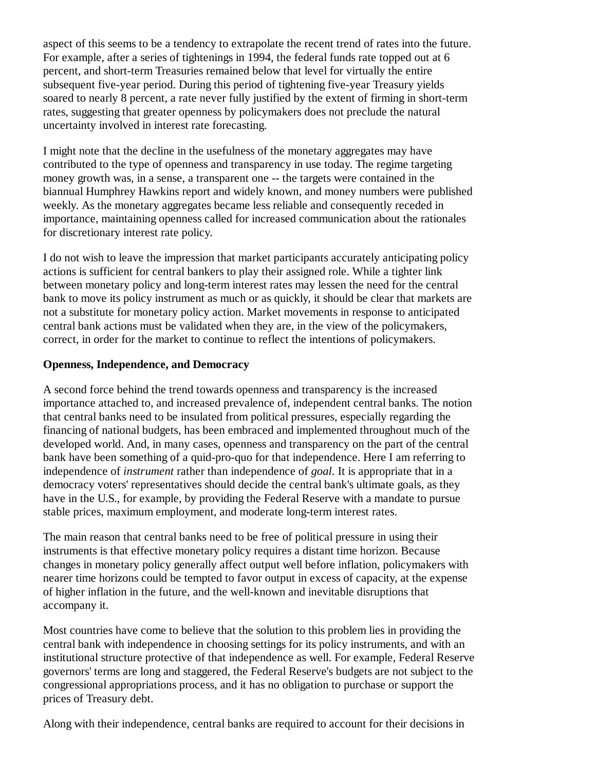aspect of this seems to be a tendency to extrapolate the recent trend of rates into the future. For example, after a series of tightenings in 1994, the federal funds rate topped out at 6 percent, and short-term Treasuries remained below that level for virtually the entire subsequent five-year period. During this period of tightening five-year Treasury yields soared to nearly 8 percent, a rate never fully justified by the extent of firming in short-term rates, suggesting that greater openness by policymakers does not preclude the natural uncertainty involved in interest rate forecasting.

I might note that the decline in the usefulness of the monetary aggregates may have contributed to the type of openness and transparency in use today. The regime targeting money growth was, in a sense, a transparent one -- the targets were contained in the biannual Humphrey Hawkins report and widely known, and money numbers were published weekly. As the monetary aggregates became less reliable and consequently receded in importance, maintaining openness called for increased communication about the rationales for discretionary interest rate policy.

I do not wish to leave the impression that market participants accurately anticipating policy actions is sufficient for central bankers to play their assigned role. While a tighter link between monetary policy and long-term interest rates may lessen the need for the central bank to move its policy instrument as much or as quickly, it should be clear that markets are not a substitute for monetary policy action. Market movements in response to anticipated central bank actions must be validated when they are, in the view of the policymakers, correct, in order for the market to continue to reflect the intentions of policymakers.

## **Openness, Independence, and Democracy**

A second force behind the trend towards openness and transparency is the increased importance attached to, and increased prevalence of, independent central banks. The notion that central banks need to be insulated from political pressures, especially regarding the financing of national budgets, has been embraced and implemented throughout much of the developed world. And, in many cases, openness and transparency on the part of the central bank have been something of a quid-pro-quo for that independence. Here I am referring to independence of *instrument* rather than independence of *goal.* It is appropriate that in a democracy voters' representatives should decide the central bank's ultimate goals, as they have in the U.S., for example, by providing the Federal Reserve with a mandate to pursue stable prices, maximum employment, and moderate long-term interest rates.

The main reason that central banks need to be free of political pressure in using their instruments is that effective monetary policy requires a distant time horizon. Because changes in monetary policy generally affect output well before inflation, policymakers with nearer time horizons could be tempted to favor output in excess of capacity, at the expense of higher inflation in the future, and the well-known and inevitable disruptions that accompany it.

Most countries have come to believe that the solution to this problem lies in providing the central bank with independence in choosing settings for its policy instruments, and with an institutional structure protective of that independence as well. For example, Federal Reserve governors' terms are long and staggered, the Federal Reserve's budgets are not subject to the congressional appropriations process, and it has no obligation to purchase or support the prices of Treasury debt.

Along with their independence, central banks are required to account for their decisions in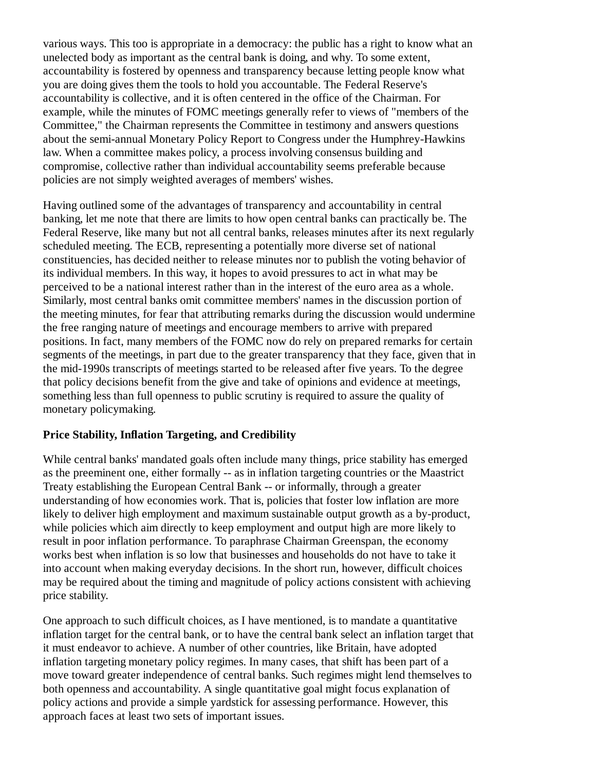various ways. This too is appropriate in a democracy: the public has a right to know what an unelected body as important as the central bank is doing, and why. To some extent, accountability is fostered by openness and transparency because letting people know what you are doing gives them the tools to hold you accountable. The Federal Reserve's accountability is collective, and it is often centered in the office of the Chairman. For example, while the minutes of FOMC meetings generally refer to views of "members of the Committee," the Chairman represents the Committee in testimony and answers questions about the semi-annual Monetary Policy Report to Congress under the Humphrey-Hawkins law. When a committee makes policy, a process involving consensus building and compromise, collective rather than individual accountability seems preferable because policies are not simply weighted averages of members' wishes.

Having outlined some of the advantages of transparency and accountability in central banking, let me note that there are limits to how open central banks can practically be. The Federal Reserve, like many but not all central banks, releases minutes after its next regularly scheduled meeting. The ECB, representing a potentially more diverse set of national constituencies, has decided neither to release minutes nor to publish the voting behavior of its individual members. In this way, it hopes to avoid pressures to act in what may be perceived to be a national interest rather than in the interest of the euro area as a whole. Similarly, most central banks omit committee members' names in the discussion portion of the meeting minutes, for fear that attributing remarks during the discussion would undermine the free ranging nature of meetings and encourage members to arrive with prepared positions. In fact, many members of the FOMC now do rely on prepared remarks for certain segments of the meetings, in part due to the greater transparency that they face, given that in the mid-1990s transcripts of meetings started to be released after five years. To the degree that policy decisions benefit from the give and take of opinions and evidence at meetings, something less than full openness to public scrutiny is required to assure the quality of monetary policymaking.

# **Price Stability, Inflation Targeting, and Credibility**

While central banks' mandated goals often include many things, price stability has emerged as the preeminent one, either formally -- as in inflation targeting countries or the Maastrict Treaty establishing the European Central Bank -- or informally, through a greater understanding of how economies work. That is, policies that foster low inflation are more likely to deliver high employment and maximum sustainable output growth as a by-product, while policies which aim directly to keep employment and output high are more likely to result in poor inflation performance. To paraphrase Chairman Greenspan, the economy works best when inflation is so low that businesses and households do not have to take it into account when making everyday decisions. In the short run, however, difficult choices may be required about the timing and magnitude of policy actions consistent with achieving price stability.

One approach to such difficult choices, as I have mentioned, is to mandate a quantitative inflation target for the central bank, or to have the central bank select an inflation target that it must endeavor to achieve. A number of other countries, like Britain, have adopted inflation targeting monetary policy regimes. In many cases, that shift has been part of a move toward greater independence of central banks. Such regimes might lend themselves to both openness and accountability. A single quantitative goal might focus explanation of policy actions and provide a simple yardstick for assessing performance. However, this approach faces at least two sets of important issues.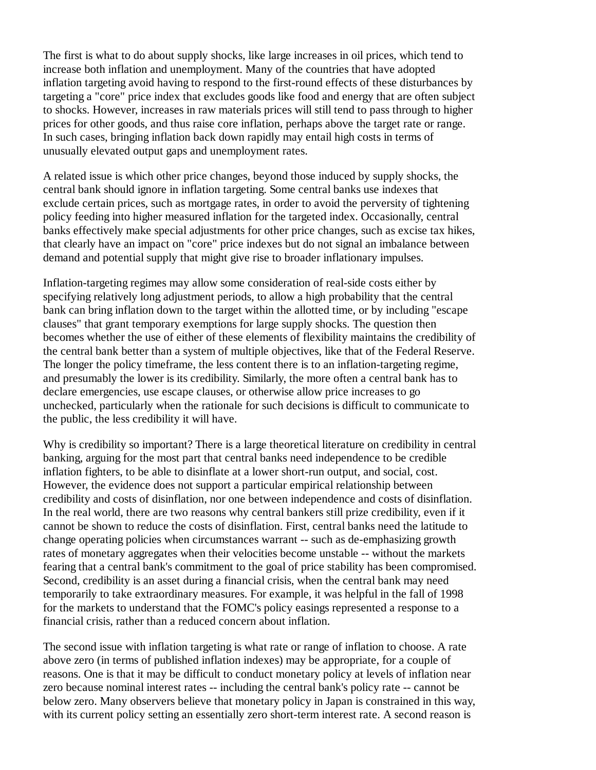The first is what to do about supply shocks, like large increases in oil prices, which tend to increase both inflation and unemployment. Many of the countries that have adopted inflation targeting avoid having to respond to the first-round effects of these disturbances by targeting a "core" price index that excludes goods like food and energy that are often subject to shocks. However, increases in raw materials prices will still tend to pass through to higher prices for other goods, and thus raise core inflation, perhaps above the target rate or range. In such cases, bringing inflation back down rapidly may entail high costs in terms of unusually elevated output gaps and unemployment rates.

A related issue is which other price changes, beyond those induced by supply shocks, the central bank should ignore in inflation targeting. Some central banks use indexes that exclude certain prices, such as mortgage rates, in order to avoid the perversity of tightening policy feeding into higher measured inflation for the targeted index. Occasionally, central banks effectively make special adjustments for other price changes, such as excise tax hikes, that clearly have an impact on "core" price indexes but do not signal an imbalance between demand and potential supply that might give rise to broader inflationary impulses.

Inflation-targeting regimes may allow some consideration of real-side costs either by specifying relatively long adjustment periods, to allow a high probability that the central bank can bring inflation down to the target within the allotted time, or by including "escape clauses" that grant temporary exemptions for large supply shocks. The question then becomes whether the use of either of these elements of flexibility maintains the credibility of the central bank better than a system of multiple objectives, like that of the Federal Reserve. The longer the policy timeframe, the less content there is to an inflation-targeting regime, and presumably the lower is its credibility. Similarly, the more often a central bank has to declare emergencies, use escape clauses, or otherwise allow price increases to go unchecked, particularly when the rationale for such decisions is difficult to communicate to the public, the less credibility it will have.

Why is credibility so important? There is a large theoretical literature on credibility in central banking, arguing for the most part that central banks need independence to be credible inflation fighters, to be able to disinflate at a lower short-run output, and social, cost. However, the evidence does not support a particular empirical relationship between credibility and costs of disinflation, nor one between independence and costs of disinflation. In the real world, there are two reasons why central bankers still prize credibility, even if it cannot be shown to reduce the costs of disinflation. First, central banks need the latitude to change operating policies when circumstances warrant -- such as de-emphasizing growth rates of monetary aggregates when their velocities become unstable -- without the markets fearing that a central bank's commitment to the goal of price stability has been compromised. Second, credibility is an asset during a financial crisis, when the central bank may need temporarily to take extraordinary measures. For example, it was helpful in the fall of 1998 for the markets to understand that the FOMC's policy easings represented a response to a financial crisis, rather than a reduced concern about inflation.

The second issue with inflation targeting is what rate or range of inflation to choose. A rate above zero (in terms of published inflation indexes) may be appropriate, for a couple of reasons. One is that it may be difficult to conduct monetary policy at levels of inflation near zero because nominal interest rates -- including the central bank's policy rate -- cannot be below zero. Many observers believe that monetary policy in Japan is constrained in this way, with its current policy setting an essentially zero short-term interest rate. A second reason is